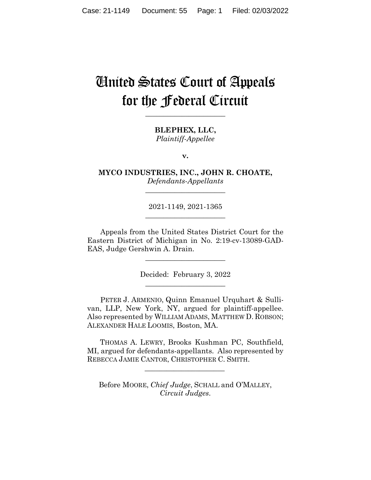# United States Court of Appeals for the Federal Circuit

**\_\_\_\_\_\_\_\_\_\_\_\_\_\_\_\_\_\_\_\_\_\_** 

**BLEPHEX, LLC,** *Plaintiff-Appellee*

**v.**

**MYCO INDUSTRIES, INC., JOHN R. CHOATE,** *Defendants-Appellants*

**\_\_\_\_\_\_\_\_\_\_\_\_\_\_\_\_\_\_\_\_\_\_** 

2021-1149, 2021-1365 **\_\_\_\_\_\_\_\_\_\_\_\_\_\_\_\_\_\_\_\_\_\_** 

Appeals from the United States District Court for the Eastern District of Michigan in No. 2:19-cv-13089-GAD-EAS, Judge Gershwin A. Drain.

> Decided: February 3, 2022 \_\_\_\_\_\_\_\_\_\_\_\_\_\_\_\_\_\_\_\_\_\_

\_\_\_\_\_\_\_\_\_\_\_\_\_\_\_\_\_\_\_\_\_\_

PETER J. ARMENIO, Quinn Emanuel Urquhart & Sullivan, LLP, New York, NY, argued for plaintiff-appellee. Also represented by WILLIAM ADAMS, MATTHEW D. ROBSON; ALEXANDER HALE LOOMIS, Boston, MA.

 THOMAS A. LEWRY, Brooks Kushman PC, Southfield, MI, argued for defendants-appellants. Also represented by REBECCA JAMIE CANTOR, CHRISTOPHER C. SMITH.

 $\mathcal{L}_\text{max}$  and  $\mathcal{L}_\text{max}$  and  $\mathcal{L}_\text{max}$  and  $\mathcal{L}_\text{max}$ 

Before MOORE, *Chief Judge*, SCHALL and O'MALLEY, *Circuit Judges*.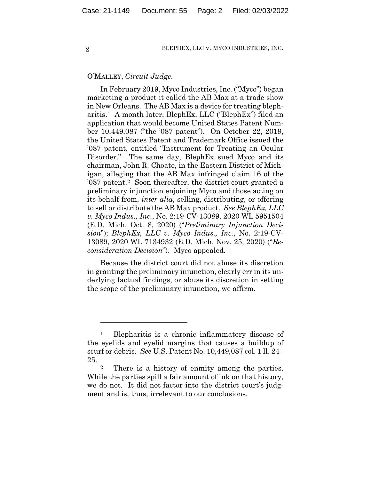## O'MALLEY, *Circuit Judge*.

In February 2019, Myco Industries, Inc. ("Myco") began marketing a product it called the AB Max at a trade show in New Orleans. The AB Max is a device for treating blepharitis.1 A month later, BlephEx, LLC ("BlephEx") filed an application that would become United States Patent Number 10,449,087 ("the '087 patent"). On October 22, 2019, the United States Patent and Trademark Office issued the '087 patent, entitled "Instrument for Treating an Ocular Disorder." The same day, BlephEx sued Myco and its chairman, John R. Choate, in the Eastern District of Michigan, alleging that the AB Max infringed claim 16 of the '087 patent.2 Soon thereafter, the district court granted a preliminary injunction enjoining Myco and those acting on its behalf from, *inter alia*, selling, distributing, or offering to sell or distribute the AB Max product. *See BlephEx, LLC v. Myco Indus., Inc.*, No. 2:19-CV-13089, 2020 WL 5951504 (E.D. Mich. Oct. 8, 2020) ("*Preliminary Injunction Decision*"); *BlephEx, LLC v. Myco Indus., Inc.*, No. 2:19-CV-13089, 2020 WL 7134932 (E.D. Mich. Nov. 25, 2020) ("*Reconsideration Decision*"). Myco appealed.

Because the district court did not abuse its discretion in granting the preliminary injunction, clearly err in its underlying factual findings, or abuse its discretion in setting the scope of the preliminary injunction, we affirm.

<sup>1</sup> Blepharitis is a chronic inflammatory disease of the eyelids and eyelid margins that causes a buildup of scurf or debris. *See* U.S. Patent No. 10,449,087 col. 1 ll. 24– 25.

<sup>2</sup> There is a history of enmity among the parties. While the parties spill a fair amount of ink on that history, we do not. It did not factor into the district court's judgment and is, thus, irrelevant to our conclusions.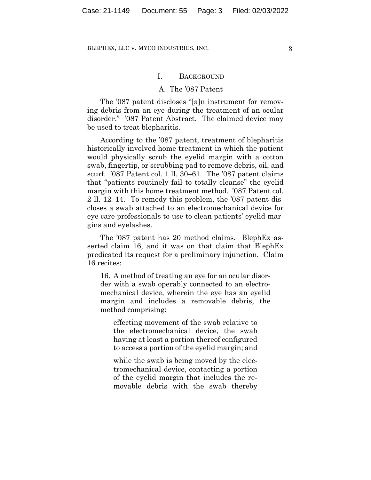## I. BACKGROUND

## A. The '087 Patent

The '087 patent discloses "[a]n instrument for removing debris from an eye during the treatment of an ocular disorder." '087 Patent Abstract. The claimed device may be used to treat blepharitis.

According to the '087 patent, treatment of blepharitis historically involved home treatment in which the patient would physically scrub the eyelid margin with a cotton swab, fingertip, or scrubbing pad to remove debris, oil, and scurf. '087 Patent col. 1 ll. 30–61. The '087 patent claims that "patients routinely fail to totally cleanse" the eyelid margin with this home treatment method. '087 Patent col. 2 ll. 12–14. To remedy this problem, the '087 patent discloses a swab attached to an electromechanical device for eye care professionals to use to clean patients' eyelid margins and eyelashes.

The '087 patent has 20 method claims. BlephEx asserted claim 16, and it was on that claim that BlephEx predicated its request for a preliminary injunction. Claim 16 recites:

16. A method of treating an eye for an ocular disorder with a swab operably connected to an electromechanical device, wherein the eye has an eyelid margin and includes a removable debris, the method comprising:

effecting movement of the swab relative to the electromechanical device, the swab having at least a portion thereof configured to access a portion of the eyelid margin; and

while the swab is being moved by the electromechanical device, contacting a portion of the eyelid margin that includes the removable debris with the swab thereby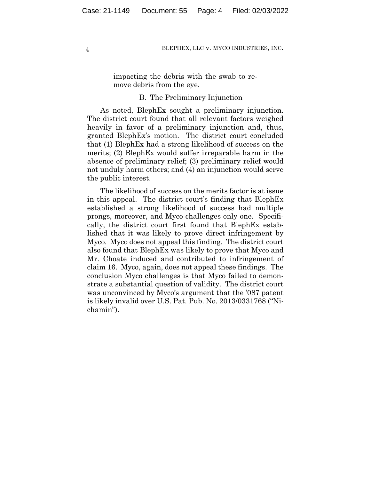impacting the debris with the swab to remove debris from the eye.

## B. The Preliminary Injunction

As noted, BlephEx sought a preliminary injunction. The district court found that all relevant factors weighed heavily in favor of a preliminary injunction and, thus, granted BlephEx's motion. The district court concluded that (1) BlephEx had a strong likelihood of success on the merits; (2) BlephEx would suffer irreparable harm in the absence of preliminary relief; (3) preliminary relief would not unduly harm others; and (4) an injunction would serve the public interest.

The likelihood of success on the merits factor is at issue in this appeal. The district court's finding that BlephEx established a strong likelihood of success had multiple prongs, moreover, and Myco challenges only one. Specifically, the district court first found that BlephEx established that it was likely to prove direct infringement by Myco. Myco does not appeal this finding. The district court also found that BlephEx was likely to prove that Myco and Mr. Choate induced and contributed to infringement of claim 16. Myco, again, does not appeal these findings. The conclusion Myco challenges is that Myco failed to demonstrate a substantial question of validity. The district court was unconvinced by Myco's argument that the '087 patent is likely invalid over U.S. Pat. Pub. No. 2013/0331768 ("Nichamin").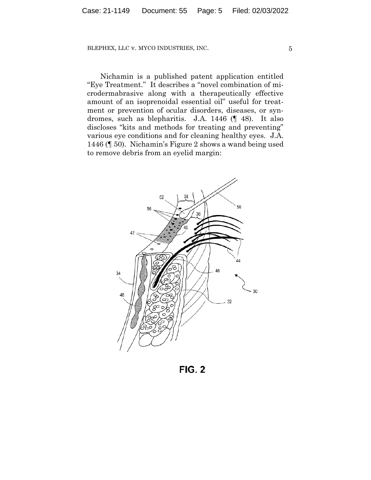Nichamin is a published patent application entitled "Eye Treatment." It describes a "novel combination of microdermabrasive along with a therapeutically effective amount of an isoprenoidal essential oil" useful for treatment or prevention of ocular disorders, diseases, or syndromes, such as blepharitis. J.A. 1446 (¶ 48). It also discloses "kits and methods for treating and preventing" various eye conditions and for cleaning healthy eyes. J.A. 1446 (¶ 50). Nichamin's Figure 2 shows a wand being used to remove debris from an eyelid margin:



**FIG. 2**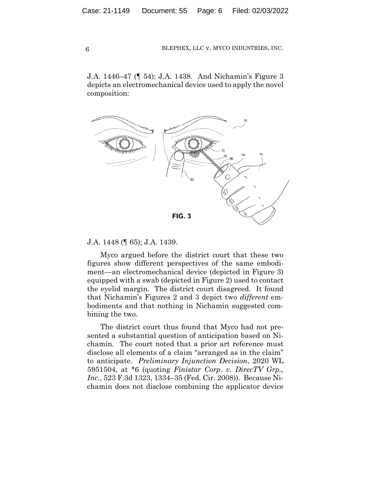J.A. 1446–47 (¶ 54); J.A. 1438. And Nichamin's Figure 3 depicts an electromechanical device used to apply the novel composition:



## J.A. 1448 (¶ 65); J.A. 1439.

Myco argued before the district court that these two figures show different perspectives of the same embodiment—an electromechanical device (depicted in Figure 3) equipped with a swab (depicted in Figure 2) used to contact the eyelid margin. The district court disagreed. It found that Nichamin's Figures 2 and 3 depict two *different* embodiments and that nothing in Nichamin suggested combining the two.

The district court thus found that Myco had not presented a substantial question of anticipation based on Nichamin. The court noted that a prior art reference must disclose all elements of a claim "arranged as in the claim" to anticipate. *Preliminary Injunction Decision*, 2020 WL 5951504, at \*6 (quoting *Finistar Corp. v. DirecTV Grp., Inc.*, 523 F.3d 1323, 1334–35 (Fed. Cir. 2008)). Because Nichamin does not disclose combining the applicator device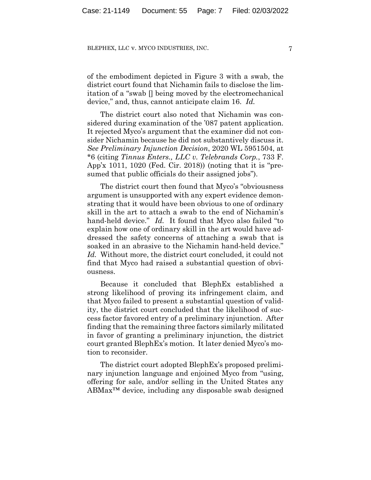of the embodiment depicted in Figure 3 with a swab, the district court found that Nichamin fails to disclose the limitation of a "swab [] being moved by the electromechanical device," and, thus, cannot anticipate claim 16. *Id.*

The district court also noted that Nichamin was considered during examination of the '087 patent application. It rejected Myco's argument that the examiner did not consider Nichamin because he did not substantively discuss it. *See Preliminary Injunction Decision*, 2020 WL 5951504, at \*6 (citing *Tinnus Enters., LLC v. Telebrands Corp.*, 733 F. App'x 1011, 1020 (Fed. Cir. 2018)) (noting that it is "presumed that public officials do their assigned jobs").

The district court then found that Myco's "obviousness argument is unsupported with any expert evidence demonstrating that it would have been obvious to one of ordinary skill in the art to attach a swab to the end of Nichamin's hand-held device." *Id.* It found that Myco also failed "to explain how one of ordinary skill in the art would have addressed the safety concerns of attaching a swab that is soaked in an abrasive to the Nichamin hand-held device." *Id.* Without more, the district court concluded, it could not find that Myco had raised a substantial question of obviousness.

Because it concluded that BlephEx established a strong likelihood of proving its infringement claim, and that Myco failed to present a substantial question of validity, the district court concluded that the likelihood of success factor favored entry of a preliminary injunction. After finding that the remaining three factors similarly militated in favor of granting a preliminary injunction, the district court granted BlephEx's motion. It later denied Myco's motion to reconsider.

The district court adopted BlephEx's proposed preliminary injunction language and enjoined Myco from "using, offering for sale, and/or selling in the United States any ABMax™ device, including any disposable swab designed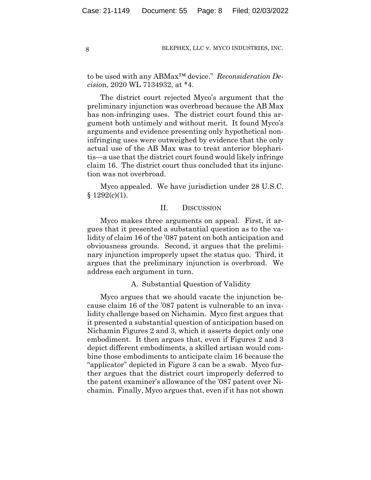to be used with any ABMax™ device." *Reconsideration Decisio*n, 2020 WL 7134932, at \*4.

The district court rejected Myco's argument that the preliminary injunction was overbroad because the AB Max has non-infringing uses. The district court found this argument both untimely and without merit. It found Myco's arguments and evidence presenting only hypothetical noninfringing uses were outweighed by evidence that the only actual use of the AB Max was to treat anterior blepharitis—a use that the district court found would likely infringe claim 16. The district court thus concluded that its injunction was not overbroad.

Myco appealed. We have jurisdiction under 28 U.S.C.  $§ 1292(c)(1).$ 

# II. DISCUSSION

Myco makes three arguments on appeal. First, it argues that it presented a substantial question as to the validity of claim 16 of the '087 patent on both anticipation and obviousness grounds. Second, it argues that the preliminary injunction improperly upset the status quo. Third, it argues that the preliminary injunction is overbroad. We address each argument in turn.

## A. Substantial Question of Validity

Myco argues that we should vacate the injunction because claim 16 of the '087 patent is vulnerable to an invalidity challenge based on Nichamin. Myco first argues that it presented a substantial question of anticipation based on Nichamin Figures 2 and 3, which it asserts depict only one embodiment. It then argues that, even if Figures 2 and 3 depict different embodiments, a skilled artisan would combine those embodiments to anticipate claim 16 because the "applicator" depicted in Figure 3 can be a swab. Myco further argues that the district court improperly deferred to the patent examiner's allowance of the '087 patent over Nichamin. Finally, Myco argues that, even if it has not shown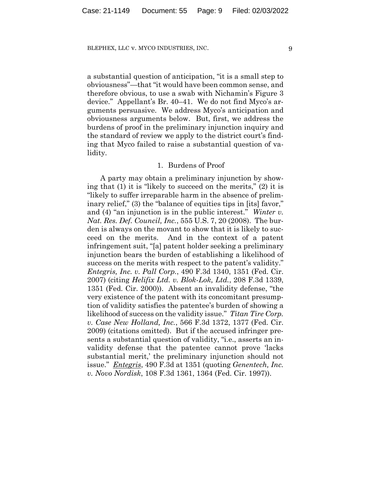a substantial question of anticipation, "it is a small step to obviousness"—that "it would have been common sense, and therefore obvious, to use a swab with Nichamin's Figure 3 device." Appellant's Br. 40–41. We do not find Myco's arguments persuasive. We address Myco's anticipation and obviousness arguments below. But, first, we address the burdens of proof in the preliminary injunction inquiry and the standard of review we apply to the district court's finding that Myco failed to raise a substantial question of validity.

## 1. Burdens of Proof

A party may obtain a preliminary injunction by showing that (1) it is "likely to succeed on the merits," (2) it is "likely to suffer irreparable harm in the absence of preliminary relief," (3) the "balance of equities tips in [its] favor," and (4) "an injunction is in the public interest." *Winter v. Nat. Res. Def. Council, Inc.*, 555 U.S. 7, 20 (2008). The burden is always on the movant to show that it is likely to succeed on the merits. And in the context of a patent infringement suit, "[a] patent holder seeking a preliminary injunction bears the burden of establishing a likelihood of success on the merits with respect to the patent's validity." *Entegris, Inc. v. Pall Corp.*, 490 F.3d 1340, 1351 (Fed. Cir. 2007) (citing *Helifix Ltd. v. Blok-Lok, Ltd.*, 208 F.3d 1339, 1351 (Fed. Cir. 2000)). Absent an invalidity defense, "the very existence of the patent with its concomitant presumption of validity satisfies the patentee's burden of showing a likelihood of success on the validity issue." *Titan Tire Corp. v. Case New Holland, Inc.*, 566 F.3d 1372, 1377 (Fed. Cir. 2009) (citations omitted). But if the accused infringer presents a substantial question of validity, "i.e., asserts an invalidity defense that the patentee cannot prove 'lacks substantial merit,' the preliminary injunction should not issue." *Entegris*, 490 F.3d at 1351 (quoting *Genentech, Inc. v. Novo Nordisk*, 108 F.3d 1361, 1364 (Fed. Cir. 1997)).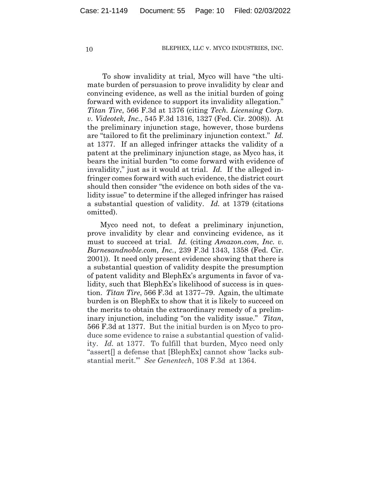To show invalidity at trial, Myco will have "the ultimate burden of persuasion to prove invalidity by clear and convincing evidence, as well as the initial burden of going forward with evidence to support its invalidity allegation." *Titan Tire*, 566 F.3d at 1376 (citing *Tech. Licensing Corp. v. Videotek, Inc.*, 545 F.3d 1316, 1327 (Fed. Cir. 2008)). At the preliminary injunction stage, however, those burdens are "tailored to fit the preliminary injunction context." *Id.* at 1377. If an alleged infringer attacks the validity of a patent at the preliminary injunction stage, as Myco has, it bears the initial burden "to come forward with evidence of invalidity," just as it would at trial. *Id.* If the alleged infringer comes forward with such evidence, the district court should then consider "the evidence on both sides of the validity issue" to determine if the alleged infringer has raised a substantial question of validity. *Id.* at 1379 (citations omitted).

Myco need not, to defeat a preliminary injunction, prove invalidity by clear and convincing evidence, as it must to succeed at trial. *Id.* (citing *Amazon.com, Inc. v. Barnesandnoble.com, Inc.*, 239 F.3d 1343, 1358 (Fed. Cir. 2001)). It need only present evidence showing that there is a substantial question of validity despite the presumption of patent validity and BlephEx's arguments in favor of validity, such that BlephEx's likelihood of success is in question. *Titan Tire*, 566 F.3d at 1377–79. Again, the ultimate burden is on BlephEx to show that it is likely to succeed on the merits to obtain the extraordinary remedy of a preliminary injunction, including "on the validity issue." *Titan*, 566 F.3d at 1377. But the initial burden is on Myco to produce some evidence to raise a substantial question of validity. *Id.* at 1377. To fulfill that burden, Myco need only "assert[] a defense that [BlephEx] cannot show 'lacks substantial merit.'" *See Genentech*, 108 F.3d at 1364.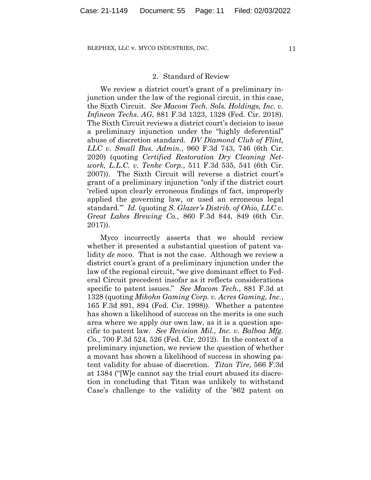## 2. Standard of Review

We review a district court's grant of a preliminary injunction under the law of the regional circuit, in this case, the Sixth Circuit. *See Macom Tech. Sols. Holdings, Inc. v. Infineon Techs. AG*, 881 F.3d 1323, 1328 (Fed. Cir. 2018). The Sixth Circuit reviews a district court's decision to issue a preliminary injunction under the "highly deferential" abuse of discretion standard. *DV Diamond Club of Flint, LLC v. Small Bus. Admin.*, 960 F.3d 743, 746 (6th Cir. 2020) (quoting *Certified Restoration Dry Cleaning Network, L.L.C. v. Tenke Corp.*, 511 F.3d 535, 541 (6th Cir. 2007)). The Sixth Circuit will reverse a district court's grant of a preliminary injunction "only if the district court 'relied upon clearly erroneous findings of fact, improperly applied the governing law, or used an erroneous legal standard.'" *Id.* (quoting *S. Glazer's Distrib. of Ohio, LLC v. Great Lakes Brewing Co.*, 860 F.3d 844, 849 (6th Cir. 2017)).

Myco incorrectly asserts that we should review whether it presented a substantial question of patent validity *de novo*. That is not the case. Although we review a district court's grant of a preliminary injunction under the law of the regional circuit, "we give dominant effect to Federal Circuit precedent insofar as it reflects considerations specific to patent issues." *See Macom Tech.*, 881 F.3d at 1328 (quoting *Mikohn Gaming Corp. v. Acres Gaming, Inc.*, 165 F.3d 891, 894 (Fed. Cir. 1998)). Whether a patentee has shown a likelihood of success on the merits is one such area where we apply our own law, as it is a question specific to patent law. *See Revision Mil., Inc. v. Balboa Mfg. Co.*, 700 F.3d 524, 526 (Fed. Cir. 2012). In the context of a preliminary injunction, we review the question of whether a movant has shown a likelihood of success in showing patent validity for abuse of discretion. *Titan Tire*, 566 F.3d at 1384 ("[W]e cannot say the trial court abused its discretion in concluding that Titan was unlikely to withstand Case's challenge to the validity of the '862 patent on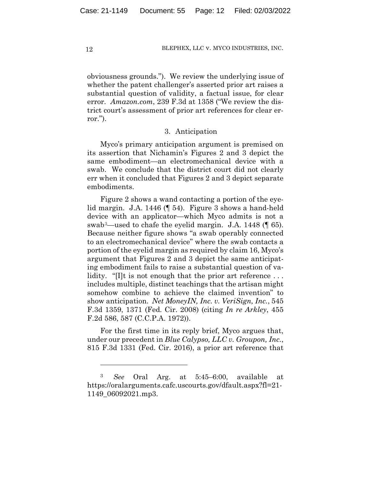obviousness grounds."). We review the underlying issue of whether the patent challenger's asserted prior art raises a substantial question of validity, a factual issue, for clear error. *Amazon.com*, 239 F.3d at 1358 ("We review the district court's assessment of prior art references for clear error.").

## 3. Anticipation

Myco's primary anticipation argument is premised on its assertion that Nichamin's Figures 2 and 3 depict the same embodiment—an electromechanical device with a swab. We conclude that the district court did not clearly err when it concluded that Figures 2 and 3 depict separate embodiments.

Figure 2 shows a wand contacting a portion of the eyelid margin. J.A. 1446 (¶ 54). Figure 3 shows a hand-held device with an applicator—which Myco admits is not a swab3—used to chafe the eyelid margin. J.A. 1448 (¶ 65). Because neither figure shows "a swab operably connected to an electromechanical device" where the swab contacts a portion of the eyelid margin as required by claim 16, Myco's argument that Figures 2 and 3 depict the same anticipating embodiment fails to raise a substantial question of validity. "[I]t is not enough that the prior art reference... includes multiple, distinct teachings that the artisan might somehow combine to achieve the claimed invention" to show anticipation. *Net MoneyIN, Inc. v. VeriSign, Inc.*, 545 F.3d 1359, 1371 (Fed. Cir. 2008) (citing *In re Arkley*, 455 F.2d 586, 587 (C.C.P.A. 1972)).

For the first time in its reply brief, Myco argues that, under our precedent in *Blue Calypso, LLC v. Groupon, Inc.*, 815 F.3d 1331 (Fed. Cir. 2016), a prior art reference that

<sup>3</sup> *See* Oral Arg. at 5:45–6:00, available at https://oralarguments.cafc.uscourts.gov/dfault.aspx?fl=21- 1149\_06092021.mp3.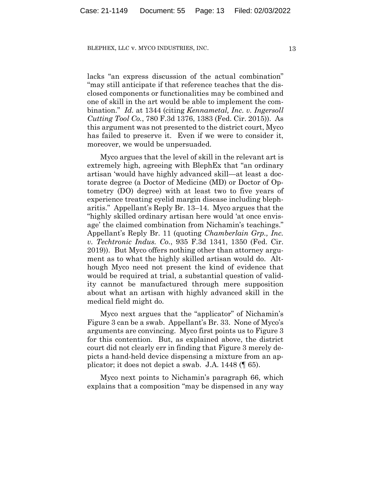lacks "an express discussion of the actual combination" "may still anticipate if that reference teaches that the disclosed components or functionalities may be combined and one of skill in the art would be able to implement the combination." *Id.* at 1344 (citing *Kennametal, Inc. v. Ingersoll Cutting Tool Co.*, 780 F.3d 1376, 1383 (Fed. Cir. 2015)). As this argument was not presented to the district court, Myco has failed to preserve it. Even if we were to consider it, moreover, we would be unpersuaded.

Myco argues that the level of skill in the relevant art is extremely high, agreeing with BlephEx that "an ordinary artisan 'would have highly advanced skill—at least a doctorate degree (a Doctor of Medicine (MD) or Doctor of Optometry (DO) degree) with at least two to five years of experience treating eyelid margin disease including blepharitis." Appellant's Reply Br. 13–14. Myco argues that the "highly skilled ordinary artisan here would 'at once envisage' the claimed combination from Nichamin's teachings." Appellant's Reply Br. 11 (quoting *Chamberlain Grp., Inc. v. Techtronic Indus. Co.*, 935 F.3d 1341, 1350 (Fed. Cir. 2019)). But Myco offers nothing other than attorney argument as to what the highly skilled artisan would do. Although Myco need not present the kind of evidence that would be required at trial, a substantial question of validity cannot be manufactured through mere supposition about what an artisan with highly advanced skill in the medical field might do.

Myco next argues that the "applicator" of Nichamin's Figure 3 can be a swab. Appellant's Br. 33. None of Myco's arguments are convincing. Myco first points us to Figure 3 for this contention. But, as explained above, the district court did not clearly err in finding that Figure 3 merely depicts a hand-held device dispensing a mixture from an applicator; it does not depict a swab. J.A. 1448 (¶ 65).

Myco next points to Nichamin's paragraph 66, which explains that a composition "may be dispensed in any way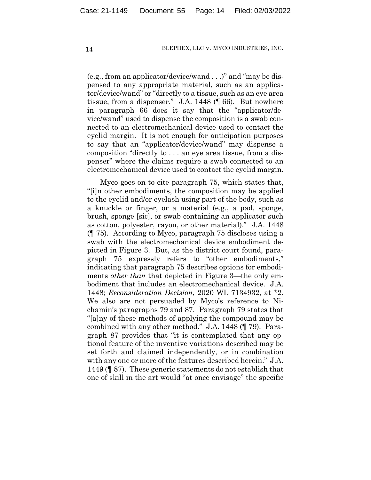(e.g., from an applicator/device/wand . . .)" and "may be dispensed to any appropriate material, such as an applicator/device/wand" or "directly to a tissue, such as an eye area tissue, from a dispenser." J.A. 1448 (¶ 66). But nowhere in paragraph 66 does it say that the "applicator/device/wand" used to dispense the composition is a swab connected to an electromechanical device used to contact the eyelid margin. It is not enough for anticipation purposes to say that an "applicator/device/wand" may dispense a composition "directly to . . . an eye area tissue, from a dispenser" where the claims require a swab connected to an electromechanical device used to contact the eyelid margin.

Myco goes on to cite paragraph 75, which states that, "[i]n other embodiments, the composition may be applied to the eyelid and/or eyelash using part of the body, such as a knuckle or finger, or a material (e.g., a pad, sponge, brush, sponge [sic], or swab containing an applicator such as cotton, polyester, rayon, or other material)." J.A. 1448 (¶ 75). According to Myco, paragraph 75 discloses using a swab with the electromechanical device embodiment depicted in Figure 3. But, as the district court found, paragraph 75 expressly refers to "other embodiments," indicating that paragraph 75 describes options for embodiments *other than* that depicted in Figure 3—the only embodiment that includes an electromechanical device. J.A. 1448; *Reconsideration Decision*, 2020 WL 7134932, at \*2. We also are not persuaded by Myco's reference to Nichamin's paragraphs 79 and 87. Paragraph 79 states that "[a]ny of these methods of applying the compound may be combined with any other method." J.A. 1448 (¶ 79). Paragraph 87 provides that "it is contemplated that any optional feature of the inventive variations described may be set forth and claimed independently, or in combination with any one or more of the features described herein." J.A. 1449 (¶ 87). These generic statements do not establish that one of skill in the art would "at once envisage" the specific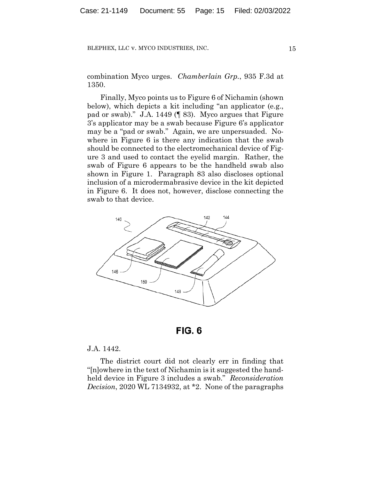combination Myco urges. *Chamberlain Grp.*, 935 F.3d at 1350.

Finally, Myco points us to Figure 6 of Nichamin (shown below), which depicts a kit including "an applicator (e.g., pad or swab)." J.A. 1449 (¶ 83). Myco argues that Figure 3's applicator may be a swab because Figure 6's applicator may be a "pad or swab." Again, we are unpersuaded. Nowhere in Figure 6 is there any indication that the swab should be connected to the electromechanical device of Figure 3 and used to contact the eyelid margin. Rather, the swab of Figure 6 appears to be the handheld swab also shown in Figure 1. Paragraph 83 also discloses optional inclusion of a microdermabrasive device in the kit depicted in Figure 6. It does not, however, disclose connecting the swab to that device.



**FIG. 6** 

## J.A. 1442.

The district court did not clearly err in finding that "[n]owhere in the text of Nichamin is it suggested the handheld device in Figure 3 includes a swab." *Reconsideration Decision*, 2020 WL 7134932, at \*2. None of the paragraphs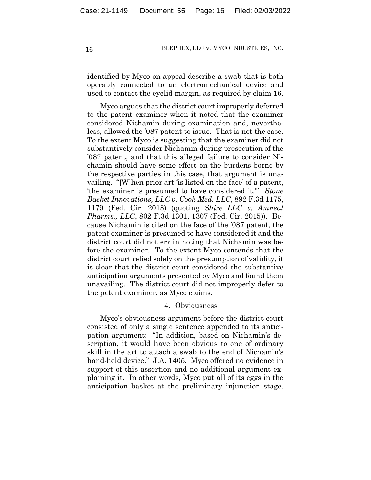identified by Myco on appeal describe a swab that is both operably connected to an electromechanical device and used to contact the eyelid margin, as required by claim 16.

Myco argues that the district court improperly deferred to the patent examiner when it noted that the examiner considered Nichamin during examination and, nevertheless, allowed the '087 patent to issue. That is not the case. To the extent Myco is suggesting that the examiner did not substantively consider Nichamin during prosecution of the '087 patent, and that this alleged failure to consider Nichamin should have some effect on the burdens borne by the respective parties in this case, that argument is unavailing. "[W]hen prior art 'is listed on the face' of a patent, 'the examiner is presumed to have considered it.'" *Stone Basket Innovations, LLC v. Cook Med. LLC*, 892 F.3d 1175, 1179 (Fed. Cir. 2018) (quoting *Shire LLC v. Amneal Pharms., LLC*, 802 F.3d 1301, 1307 (Fed. Cir. 2015)). Because Nichamin is cited on the face of the '087 patent, the patent examiner is presumed to have considered it and the district court did not err in noting that Nichamin was before the examiner. To the extent Myco contends that the district court relied solely on the presumption of validity, it is clear that the district court considered the substantive anticipation arguments presented by Myco and found them unavailing. The district court did not improperly defer to the patent examiner, as Myco claims.

## 4. Obviousness

Myco's obviousness argument before the district court consisted of only a single sentence appended to its anticipation argument: "In addition, based on Nichamin's description, it would have been obvious to one of ordinary skill in the art to attach a swab to the end of Nichamin's hand-held device." J.A. 1405. Myco offered no evidence in support of this assertion and no additional argument explaining it. In other words, Myco put all of its eggs in the anticipation basket at the preliminary injunction stage.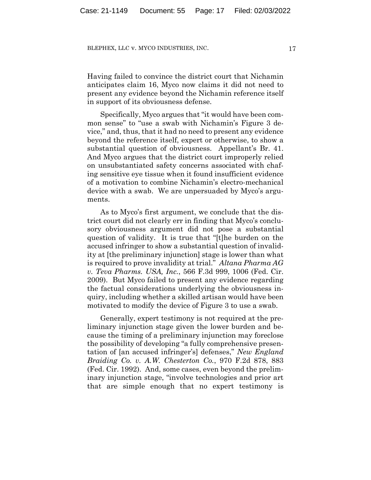Having failed to convince the district court that Nichamin anticipates claim 16, Myco now claims it did not need to present any evidence beyond the Nichamin reference itself in support of its obviousness defense.

Specifically, Myco argues that "it would have been common sense" to "use a swab with Nichamin's Figure 3 device," and, thus, that it had no need to present any evidence beyond the reference itself, expert or otherwise, to show a substantial question of obviousness. Appellant's Br. 41. And Myco argues that the district court improperly relied on unsubstantiated safety concerns associated with chafing sensitive eye tissue when it found insufficient evidence of a motivation to combine Nichamin's electro-mechanical device with a swab. We are unpersuaded by Myco's arguments.

As to Myco's first argument, we conclude that the district court did not clearly err in finding that Myco's conclusory obviousness argument did not pose a substantial question of validity. It is true that "[t]he burden on the accused infringer to show a substantial question of invalidity at [the preliminary injunction] stage is lower than what is required to prove invalidity at trial." *Altana Pharma AG v. Teva Pharms. USA, Inc.*, 566 F.3d 999, 1006 (Fed. Cir. 2009). But Myco failed to present any evidence regarding the factual considerations underlying the obviousness inquiry, including whether a skilled artisan would have been motivated to modify the device of Figure 3 to use a swab.

Generally, expert testimony is not required at the preliminary injunction stage given the lower burden and because the timing of a preliminary injunction may foreclose the possibility of developing "a fully comprehensive presentation of [an accused infringer's] defenses," *New England Braiding Co. v. A.W. Chesterton Co.*, 970 F.2d 878, 883 (Fed. Cir. 1992). And, some cases, even beyond the preliminary injunction stage, "involve technologies and prior art that are simple enough that no expert testimony is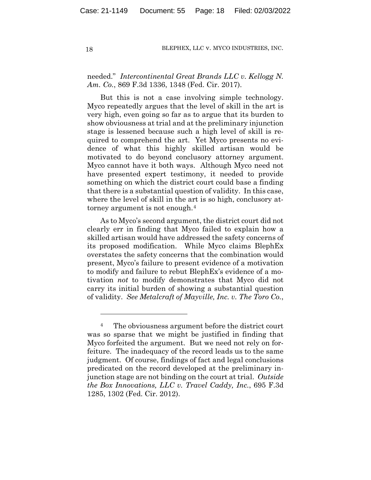# needed." *Intercontinental Great Brands LLC v. Kellogg N. Am. Co.*, 869 F.3d 1336, 1348 (Fed. Cir. 2017).

But this is not a case involving simple technology. Myco repeatedly argues that the level of skill in the art is very high, even going so far as to argue that its burden to show obviousness at trial and at the preliminary injunction stage is lessened because such a high level of skill is required to comprehend the art. Yet Myco presents no evidence of what this highly skilled artisan would be motivated to do beyond conclusory attorney argument. Myco cannot have it both ways. Although Myco need not have presented expert testimony, it needed to provide something on which the district court could base a finding that there is a substantial question of validity. In this case, where the level of skill in the art is so high, conclusory attorney argument is not enough.4

As to Myco's second argument, the district court did not clearly err in finding that Myco failed to explain how a skilled artisan would have addressed the safety concerns of its proposed modification. While Myco claims BlephEx overstates the safety concerns that the combination would present, Myco's failure to present evidence of a motivation to modify and failure to rebut BlephEx's evidence of a motivation *not* to modify demonstrates that Myco did not carry its initial burden of showing a substantial question of validity. *See Metalcraft of Mayville, Inc. v. The Toro Co.*,

<sup>4</sup> The obviousness argument before the district court was so sparse that we might be justified in finding that Myco forfeited the argument. But we need not rely on forfeiture. The inadequacy of the record leads us to the same judgment. Of course, findings of fact and legal conclusions predicated on the record developed at the preliminary injunction stage are not binding on the court at trial. *Outside the Box Innovations, LLC v. Travel Caddy, Inc.*, 695 F.3d 1285, 1302 (Fed. Cir. 2012).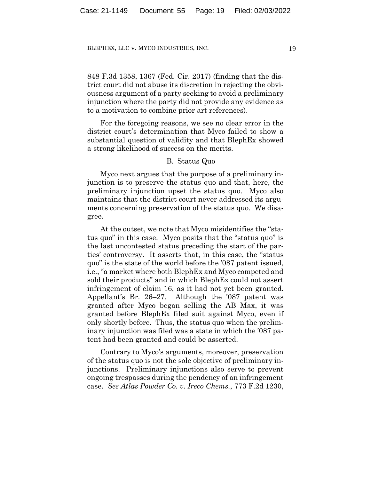848 F.3d 1358, 1367 (Fed. Cir. 2017) (finding that the district court did not abuse its discretion in rejecting the obviousness argument of a party seeking to avoid a preliminary injunction where the party did not provide any evidence as to a motivation to combine prior art references).

For the foregoing reasons, we see no clear error in the district court's determination that Myco failed to show a substantial question of validity and that BlephEx showed a strong likelihood of success on the merits.

## B. Status Quo

Myco next argues that the purpose of a preliminary injunction is to preserve the status quo and that, here, the preliminary injunction upset the status quo. Myco also maintains that the district court never addressed its arguments concerning preservation of the status quo. We disagree.

At the outset, we note that Myco misidentifies the "status quo" in this case. Myco posits that the "status quo" is the last uncontested status preceding the start of the parties' controversy. It asserts that, in this case, the "status quo" is the state of the world before the '087 patent issued, i.e., "a market where both BlephEx and Myco competed and sold their products" and in which BlephEx could not assert infringement of claim 16, as it had not yet been granted. Appellant's Br. 26–27. Although the '087 patent was granted after Myco began selling the AB Max, it was granted before BlephEx filed suit against Myco, even if only shortly before. Thus, the status quo when the preliminary injunction was filed was a state in which the '087 patent had been granted and could be asserted.

Contrary to Myco's arguments, moreover, preservation of the status quo is not the sole objective of preliminary injunctions. Preliminary injunctions also serve to prevent ongoing trespasses during the pendency of an infringement case. *See Atlas Powder Co. v. Ireco Chems.*, 773 F.2d 1230,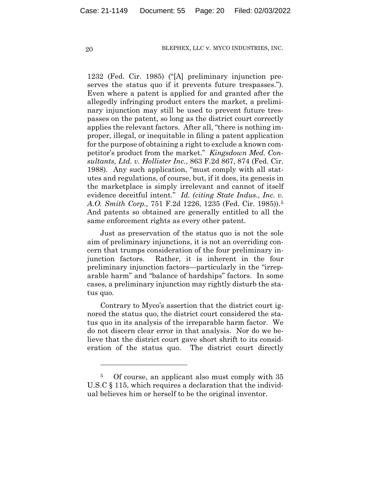1232 (Fed. Cir. 1985) ("[A] preliminary injunction preserves the status quo if it prevents future trespasses."). Even where a patent is applied for and granted after the allegedly infringing product enters the market, a preliminary injunction may still be used to prevent future trespasses on the patent, so long as the district court correctly applies the relevant factors. After all, "there is nothing improper, illegal, or inequitable in filing a patent application for the purpose of obtaining a right to exclude a known competitor's product from the market." *Kingsdown Med. Consultants, Ltd. v. Hollister Inc.*, 863 F.2d 867, 874 (Fed. Cir. 1988). Any such application, "must comply with all statutes and regulations, of course, but, if it does, its genesis in the marketplace is simply irrelevant and cannot of itself evidence deceitful intent." *Id. (citing State Indus., Inc. v. A.O. Smith Corp.,* 751 F.2d 1226, 1235 (Fed. Cir. 1985)).5 And patents so obtained are generally entitled to all the same enforcement rights as every other patent.

Just as preservation of the status quo is not the sole aim of preliminary injunctions, it is not an overriding concern that trumps consideration of the four preliminary injunction factors. Rather, it is inherent in the four preliminary injunction factors—particularly in the "irreparable harm" and "balance of hardships" factors. In some cases, a preliminary injunction may rightly disturb the status quo.

Contrary to Myco's assertion that the district court ignored the status quo, the district court considered the status quo in its analysis of the irreparable harm factor. We do not discern clear error in that analysis. Nor do we believe that the district court gave short shrift to its consideration of the status quo. The district court directly

<sup>5</sup> Of course, an applicant also must comply with 35 U.S.C § 115, which requires a declaration that the individual believes him or herself to be the original inventor.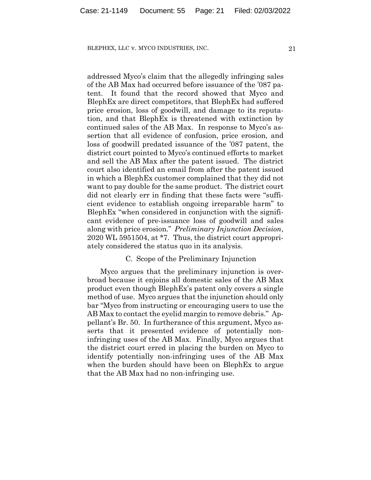addressed Myco's claim that the allegedly infringing sales of the AB Max had occurred before issuance of the '087 patent. It found that the record showed that Myco and BlephEx are direct competitors, that BlephEx had suffered price erosion, loss of goodwill, and damage to its reputation, and that BlephEx is threatened with extinction by continued sales of the AB Max. In response to Myco's assertion that all evidence of confusion, price erosion, and loss of goodwill predated issuance of the '087 patent, the district court pointed to Myco's continued efforts to market and sell the AB Max after the patent issued. The district court also identified an email from after the patent issued in which a BlephEx customer complained that they did not want to pay double for the same product. The district court did not clearly err in finding that these facts were "sufficient evidence to establish ongoing irreparable harm" to BlephEx "when considered in conjunction with the significant evidence of pre-issuance loss of goodwill and sales along with price erosion." *Preliminary Injunction Decision*, 2020 WL 5951504, at \*7. Thus, the district court appropriately considered the status quo in its analysis.

## C. Scope of the Preliminary Injunction

Myco argues that the preliminary injunction is overbroad because it enjoins all domestic sales of the AB Max product even though BlephEx's patent only covers a single method of use. Myco argues that the injunction should only bar "Myco from instructing or encouraging users to use the AB Max to contact the eyelid margin to remove debris." Appellant's Br. 50. In furtherance of this argument, Myco asserts that it presented evidence of potentially noninfringing uses of the AB Max. Finally, Myco argues that the district court erred in placing the burden on Myco to identify potentially non-infringing uses of the AB Max when the burden should have been on BlephEx to argue that the AB Max had no non-infringing use.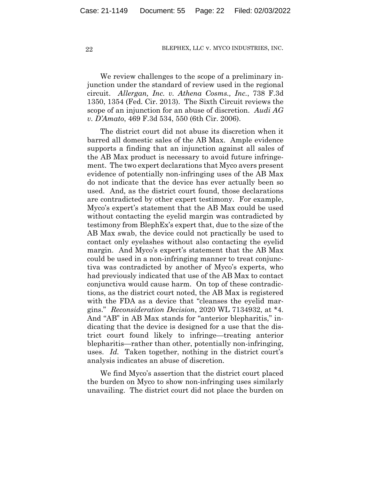We review challenges to the scope of a preliminary injunction under the standard of review used in the regional circuit. *Allergan, Inc. v. Athena Cosms., Inc.*, 738 F.3d 1350, 1354 (Fed. Cir. 2013). The Sixth Circuit reviews the scope of an injunction for an abuse of discretion. *Audi AG v. D'Amato*, 469 F.3d 534, 550 (6th Cir. 2006).

The district court did not abuse its discretion when it barred all domestic sales of the AB Max. Ample evidence supports a finding that an injunction against all sales of the AB Max product is necessary to avoid future infringement. The two expert declarations that Myco avers present evidence of potentially non-infringing uses of the AB Max do not indicate that the device has ever actually been so used. And, as the district court found, those declarations are contradicted by other expert testimony. For example, Myco's expert's statement that the AB Max could be used without contacting the eyelid margin was contradicted by testimony from BlephEx's expert that, due to the size of the AB Max swab, the device could not practically be used to contact only eyelashes without also contacting the eyelid margin. And Myco's expert's statement that the AB Max could be used in a non-infringing manner to treat conjunctiva was contradicted by another of Myco's experts, who had previously indicated that use of the AB Max to contact conjunctiva would cause harm. On top of these contradictions, as the district court noted, the AB Max is registered with the FDA as a device that "cleanses the eyelid margins." *Reconsideration Decision*, 2020 WL 7134932, at \*4. And "AB" in AB Max stands for "anterior blepharitis," indicating that the device is designed for a use that the district court found likely to infringe—treating anterior blepharitis—rather than other, potentially non-infringing, uses. *Id.* Taken together, nothing in the district court's analysis indicates an abuse of discretion.

We find Myco's assertion that the district court placed the burden on Myco to show non-infringing uses similarly unavailing. The district court did not place the burden on